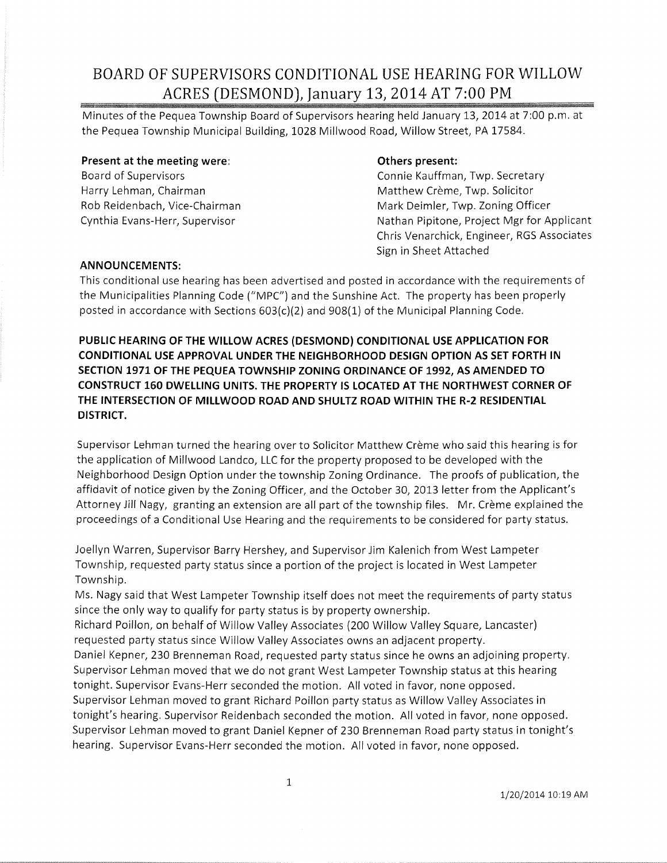### **BOARD OF SUPERVISORS CONDITIONAL USE HEARING FOR WILLOW ACRES (DESMOND), January 13,** 20~4 **AT 7:00 PM**

Minutes of the Pequea Township Board of Supervisors hearing held January 13, 2014 at 7:00 p.m. at the Pequea Township Municipal Building, 1028 Millwood Road, Willow Street, PA 17584.

#### **Present at the meeting were:**

Board of Supervisors Harry Lehman, Chairman Rob Reidenbach, Vice-Chairman Cynthia Evans-Herr, Supervisor

### **Others present:**

Connie Kauffman, Twp. Secretary Matthew Crème, Twp. Solicitor Mark Deimler, Twp. Zoning Officer Nathan Pipitone, Project Mgr for Applicant Chris Venarchick, Engineer, RGS Associates Sign in Sheet Attached

### **ANNOUNCEMENTS:**

This conditional use hearing has been advertised and posted in accordance with the requirements of the Municipalities Planning Code ("MPC") and the Sunshine Act. The property has been properly posted in accordance with Sections  $603(c)(2)$  and  $908(1)$  of the Municipal Planning Code.

**PUBLIC HEARING OF THE WILLOW ACRES (DESMOND) CONDITIONAL USE APPLICATION FOR CONDITIONAL USE APPROVAL UNDER THE NEIGHBORHOOD DESIGN OPTION AS SET FORTH IN SECTION 1971 OF THE PEQUEA TOWNSHIP ZONING ORDINANCE OF 1992, AS AMENDED TO CONSTRUCT 160 DWELLING UNITS. THE PROPERTY IS LOCATED AT THE NORTHWEST CORNER OF THE INTERSECTION OF MILLWOOD ROAD AND SHULTZ ROAD WITHIN THE R-2 RESIDENTIAL DISTRICT.** 

Supervisor Lehman turned the hearing over to Solicitor Matthew Crème who said this hearing is for the application of Millwood Landco, LLC for the property proposed to be developed with the Neighborhood Design Option under the township Zoning Ordinance. The proofs of publication, the affidavit of notice given by the Zoning Officer, and the October 30,2013 letter from the Applicant's Attorney Jill Nagy, granting an extension are all part of the township files. Mr. Crème explained the proceedings of a Conditional Use Hearing and the requirements to be considered for party status.

Joellyn Warren, Supervisor Barry Hershey, and Supervisor Jim Kalenich from West Lampeter Township, requested party status since a portion of the project is located in West Lampeter Township.

Ms. Nagy said that West Lampeter Township itself does not meet the requirements of party status since the only way to qualify for party status is by property ownership.

Richard Poillon, on behalf of Willow Valley Associates (200 Willow Valley Square, Lancaster) requested party status since Willow Valley Associates owns an adjacent property.

Daniel Kepner, 230 Brenneman Road, requested party status since he owns an adjoining property. Supervisor Lehman moved that we do not grant West Lampeter Township status at this hearing tonight. Supervisor Evans-Herr seconded the motion. All voted in favor, none opposed.

Supervisor Lehman moved to grant Richard Poillon party status as Willow Valley Associates in tonight's hearing. Supervisor Reidenbach seconded the motion. All voted in favor, none opposed. Supervisor Lehman moved to grant Daniel Kepner of 230 Brenneman Road party status in tonight's hearing. Supervisor Evans-Herr seconded the motion. All voted in favor, none opposed.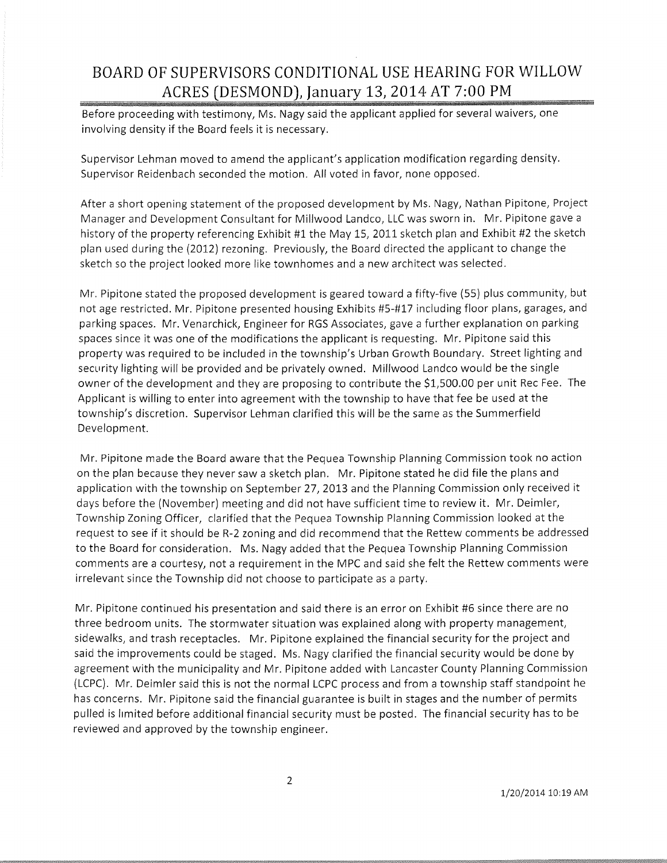## **BOARD OF SUPERVISORS CONDITIONAL USE HEARING FOR WILLOW ACRES (DESMOND), January 13, 2014 AT 7:00 PM**

ww Before proceeding with testimony, Ms. Nagy said the applicant applied for several waivers, one involving density if the Board feels it is necessary.

Supervisor Lehman moved to amend the applicant's application modification regarding density. Supervisor Reidenbach seconded the motion. All voted in favor, none opposed.

After a short opening statement of the proposed development by Ms. Nagy, Nathan Pipitone, Project Manager and Development Consultant for Millwood Landco, LLC was sworn in. Mr. Pipitone gave a history of the property referencing Exhibit #1 the May 15, 2011 sketch plan and Exhibit #2 the sketch plan used during the (2012) rezoning. Previously, the Board directed the applicant to change the sketch so the project looked more like townhomes and a new architect was selected.

Mr. Pipitone stated the proposed development is geared toward a fifty-five (55) plus community, but not age restricted. Mr. Pipitone presented housing Exhibits #5-#17 including floor plans, garages, and parking spaces. Mr. Venarchick, Engineer for RGS Associates, gave a further explanation on parking spaces since it was one of the modifications the applicant is requesting. Mr. Pipitone said this property was required to be included in the township's Urban Growth Boundary. Street lighting and security lighting will be provided and be privately owned. Millwood Landco would be the single owner of the development and they are proposing to contribute the \$1,500.00 per unit Rec Fee. The Applicant is willing to enter into agreement with the township to have that fee be used at the township's discretion. Supervisor Lehman clarified this will be the same as the Summerfield Development.

Mr. Pipitone made the Board aware that the Pequea Township Planning Commission took no action on the plan because they never saw a sketch plan. Mr. Pipitone stated he did file the plans and application with the township on September 27, 2013 and the Planning Commission only received it days before the (November) meeting and did not have sufficient time to review it. Mr. Deimler, Township Zoning Officer, clarified that the Pequea Township Planning Commission looked at the request to see if it should be R-2 zoning and did recommend that the Rettew comments be addressed to the Board for consideration. Ms. Nagy added that the Pequea Township Planning Commission comments are a courtesy, not a requirement in the MPC and said she felt the Rettew comments were irrelevant since the Township did not choose to participate as a party.

Mr. Pipitone continued his presentation and said there is an error on Exhibit #6 since there are no three bedroom units. The stormwater situation was explained along with property management, sidewalks, and trash receptacles. Mr. Pipitone explained the financial security for the project and said the improvements could be staged. Ms. Nagy clarified the financial security would be done by agreement with the municipality and Mr. Pipitone added with Lancaster County Planning Commission (LCPC). Mr. Deimler said this is not the normal LCPC process and from a township staff standpoint he has concerns. Mr. Pipitone said the financial guarantee is built in stages and the number of permits pulled is limited before additional financial security must be posted. The financial security has to be reviewed and approved by the township engineer.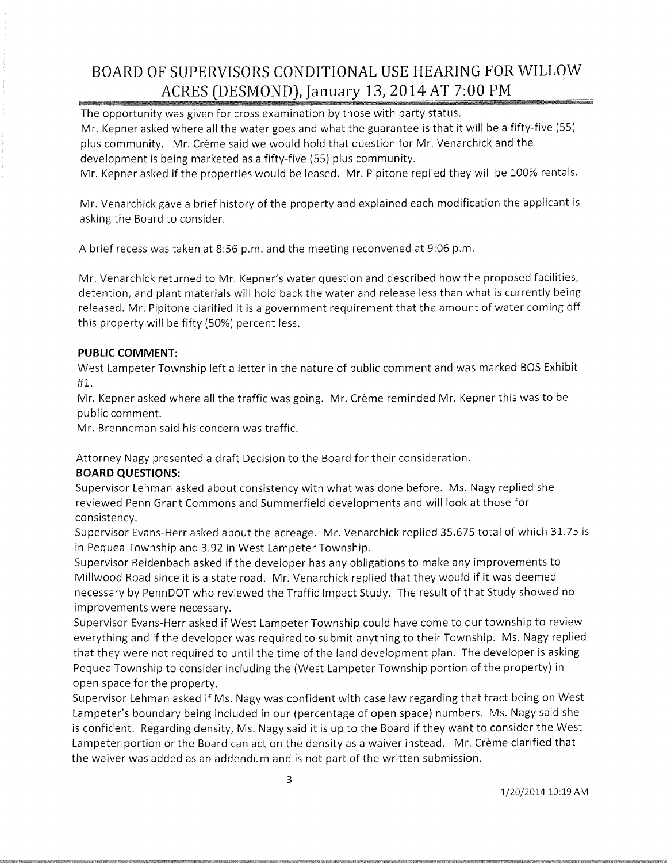## **BOARD OF SUPERVISORS CONDITIONAL USE HEARING FOR WILLOW ACRES (DESMOND), January 13, 2014 AT 7:00 PM**

The opportunity was given for cross examination by those with party status. Mr. Kepner asked where all the water goes and what the guarantee is that it will be a fifty-five (55) plus community. Mr. Crème said we would hold that question for Mr. Venarchick and the development is being marketed as a fifty-five (55) plus community.

Mr. Kepner asked if the properties would be leased. Mr. Pipitone replied they will be 100% rentals.

Mr. Venarchick gave a brief history of the property and explained each modification the applicant is asking the Board to consider.

A brief recess was taken at 8:56 p.m. and the meeting reconvened at 9:06 p.m.

Mr. Venarchick returned to Mr. Kepner's water question and described how the proposed facilities, detention, and plant materials will hold back the water and release less than what is currently being released. Mr. Pipitone clarified it is a government requirement that the amount of water coming off this property will be fifty (50%) percent less.

### **PUBLIC COMMENT:**

West Lampeter Township left a letter in the nature of public comment and was marked BOS Exhibit #1.

Mr. Kepner asked where all the traffic was going. Mr. Crème reminded Mr. Kepner this was to be public cornment.

Mr. Brenneman said his concern was traffic.

Attorney Nagy presented a draft Decision to the Board for their consideration.

### **BOARD QUESTIONS:**

Supervisor Lehman asked about consistency with what was done before. Ms. Nagy replied she reviewed Penn Grant Commons and Summerfield developments and will look at those for consistency.

Supervisor Evans-Herr asked about the acreage. Mr. Venarchick replied 35.675 total of which 31.75 is in Pequea Township and 3.92 in West Lampeter Township.

Supervisor Reidenbach asked if the developer has any obligations to make any improvements to Millwood Road since it is a state road. Mr. Venarchick replied that they would if it was deemed necessary by PennDOT who reviewed the Traffic Impact Study. The result of that Study showed no improvements were necessary.

Supervisor Evans-Herr asked if West Lampeter Township could have come to our township to review everything and if the developer was required to submit anything to their Township. Ms. Nagy replied that they were not required to until the time of the land development plan. The developer is asking Pequea Township to consider including the (West Lampeter Township portion of the property) in open space for the property.

Supervisor Lehman asked if Ms. Nagy was confident with case law regarding that tract being on West Lampeter's boundary being included in our (percentage of open space) numbers. Ms. Nagy said she is confident. Regarding density, Ms. Nagy said it is up to the Board if they want to consider the West Lampeter portion or the Board can act on the density as a waiver instead. Mr. Crème clarified that the waiver was added as an addendum and is not part of the written submission.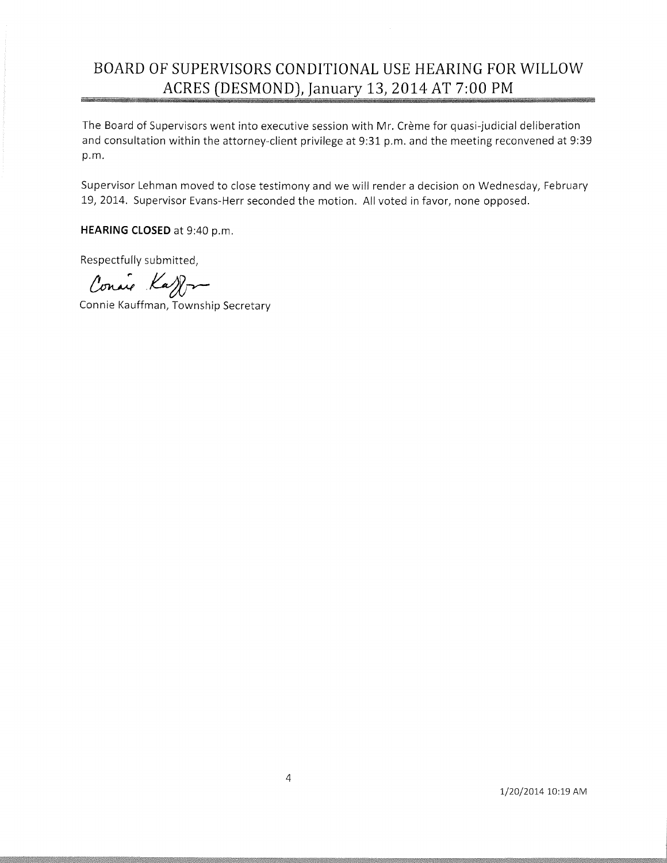# **BOARD OF SUPERVISORS CONDITIONAL USE HEARING FOR WILLOW ACRES (DESMOND), January 13, 2014 AT 7:00 PM**

The Board of Supervisors went into executive session with Mr. Crème for quasi-judicial deliberation and consultation within the attorney-client privilege at 9:31 p.m. and the meeting reconvened at 9:39 p.m.

Supervisor Lehman moved to close testimony and we will render a decision on Wednesday, February 19,2014. Supervisor Evans-Herr seconded the motion. All voted in favor, none opposed.

**HEARING CLOSED** at 9:40 p.m.

Respectfully submitted,

Conaie Kay ~